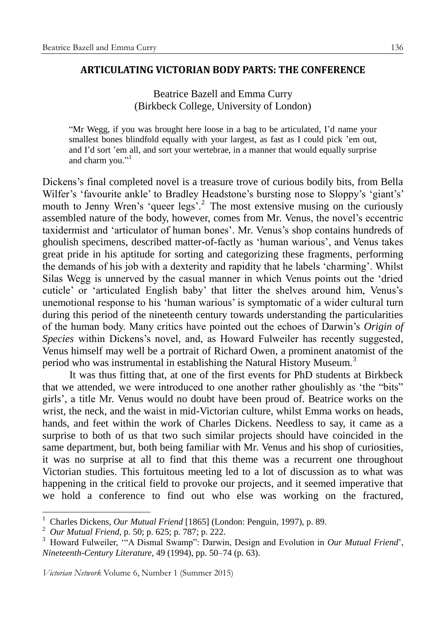## **ARTICULATING VICTORIAN BODY PARTS: THE CONFERENCE**

## Beatrice Bazell and Emma Curry (Birkbeck College, University of London)

"Mr Wegg, if you was brought here loose in a bag to be articulated, I'd name your smallest bones blindfold equally with your largest, as fast as I could pick 'em out, and I'd sort 'em all, and sort your wertebrae, in a manner that would equally surprise and charm you."<sup>1</sup>

Dickens's final completed novel is a treasure trove of curious bodily bits, from Bella Wilfer's 'favourite ankle' to Bradley Headstone's bursting nose to Sloppy's 'giant's' mouth to Jenny Wren's 'queer legs'.<sup>2</sup> The most extensive musing on the curiously assembled nature of the body, however, comes from Mr. Venus, the novel's eccentric taxidermist and 'articulator of human bones'. Mr. Venus's shop contains hundreds of ghoulish specimens, described matter-of-factly as 'human warious', and Venus takes great pride in his aptitude for sorting and categorizing these fragments, performing the demands of his job with a dexterity and rapidity that he labels 'charming'. Whilst Silas Wegg is unnerved by the casual manner in which Venus points out the 'dried cuticle' or 'articulated English baby' that litter the shelves around him, Venus's unemotional response to his 'human warious' is symptomatic of a wider cultural turn during this period of the nineteenth century towards understanding the particularities of the human body. Many critics have pointed out the echoes of Darwin's *Origin of Species* within Dickens's novel, and, as Howard Fulweiler has recently suggested, Venus himself may well be a portrait of Richard Owen, a prominent anatomist of the period who was instrumental in establishing the Natural History Museum.<sup>3</sup>

It was thus fitting that, at one of the first events for PhD students at Birkbeck that we attended, we were introduced to one another rather ghoulishly as 'the "bits" girls', a title Mr. Venus would no doubt have been proud of. Beatrice works on the wrist, the neck, and the waist in mid-Victorian culture, whilst Emma works on heads, hands, and feet within the work of Charles Dickens. Needless to say, it came as a surprise to both of us that two such similar projects should have coincided in the same department, but, both being familiar with Mr. Venus and his shop of curiosities, it was no surprise at all to find that this theme was a recurrent one throughout Victorian studies. This fortuitous meeting led to a lot of discussion as to what was happening in the critical field to provoke our projects, and it seemed imperative that we hold a conference to find out who else was working on the fractured,

<u>.</u>

<sup>1</sup> Charles Dickens, *Our Mutual Friend* [1865] (London: Penguin, 1997), p. 89.

<sup>2</sup> *Our Mutual Friend*, p. 50; p. 625; p. 787; p. 222.

<sup>3</sup> Howard Fulweiler, '"A Dismal Swamp": Darwin, Design and Evolution in *Our Mutual Friend*', *Nineteenth-Century Literature*, 49 (1994), pp. 50–74 (p. 63).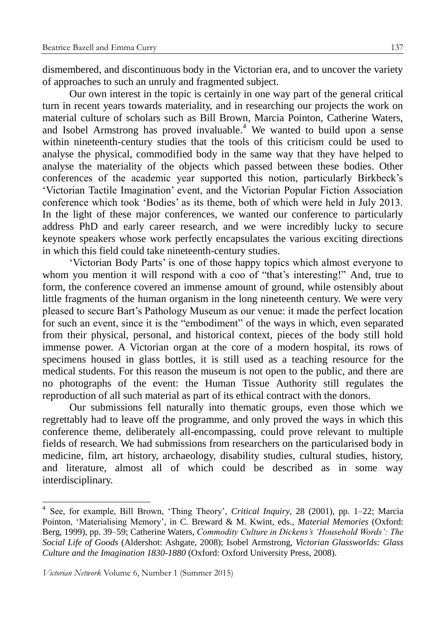dismembered, and discontinuous body in the Victorian era, and to uncover the variety of approaches to such an unruly and fragmented subject.

Our own interest in the topic is certainly in one way part of the general critical turn in recent years towards materiality, and in researching our projects the work on material culture of scholars such as Bill Brown, Marcia Pointon, Catherine Waters, and Isobel Armstrong has proved invaluable.<sup>4</sup> We wanted to build upon a sense within nineteenth-century studies that the tools of this criticism could be used to analyse the physical, commodified body in the same way that they have helped to analyse the materiality of the objects which passed between these bodies. Other conferences of the academic year supported this notion, particularly Birkbeck's 'Victorian Tactile Imagination' event, and the Victorian Popular Fiction Association conference which took 'Bodies' as its theme, both of which were held in July 2013. In the light of these major conferences, we wanted our conference to particularly address PhD and early career research, and we were incredibly lucky to secure keynote speakers whose work perfectly encapsulates the various exciting directions in which this field could take nineteenth-century studies.

'Victorian Body Parts' is one of those happy topics which almost everyone to whom you mention it will respond with a coo of "that's interesting!" And, true to form, the conference covered an immense amount of ground, while ostensibly about little fragments of the human organism in the long nineteenth century. We were very pleased to secure Bart's Pathology Museum as our venue: it made the perfect location for such an event, since it is the "embodiment" of the ways in which, even separated from their physical, personal, and historical context, pieces of the body still hold immense power. A Victorian organ at the core of a modern hospital, its rows of specimens housed in glass bottles, it is still used as a teaching resource for the medical students. For this reason the museum is not open to the public, and there are no photographs of the event: the Human Tissue Authority still regulates the reproduction of all such material as part of its ethical contract with the donors.

Our submissions fell naturally into thematic groups, even those which we regrettably had to leave off the programme, and only proved the ways in which this conference theme, deliberately all-encompassing, could prove relevant to multiple fields of research. We had submissions from researchers on the particularised body in medicine, film, art history, archaeology, disability studies, cultural studies, history, and literature, almost all of which could be described as in some way interdisciplinary.

<u>.</u>

<sup>4</sup> See, for example, Bill Brown, 'Thing Theory', *Critical Inquiry*, 28 (2001), pp. 1–22; Marcia Pointon, 'Materialising Memory', in C. Breward & M. Kwint, eds., *Material Memories* (Oxford: Berg, 1999), pp. 39–59; Catherine Waters, *Commodity Culture in Dickens's 'Household Words': The Social Life of Goods* (Aldershot: Ashgate, 2008); Isobel Armstrong, *Victorian Glassworlds: Glass Culture and the Imagination 1830-1880* (Oxford: Oxford University Press, 2008).

*Victorian Network* Volume 6, Number 1 (Summer 2015)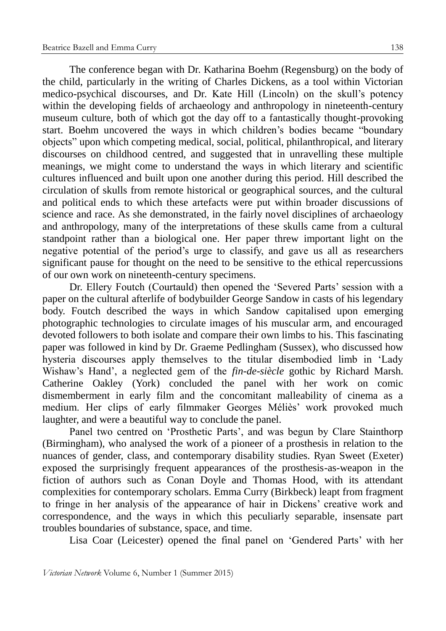The conference began with Dr. Katharina Boehm (Regensburg) on the body of the child, particularly in the writing of Charles Dickens, as a tool within Victorian medico-psychical discourses, and Dr. Kate Hill (Lincoln) on the skull's potency within the developing fields of archaeology and anthropology in nineteenth-century museum culture, both of which got the day off to a fantastically thought-provoking start. Boehm uncovered the ways in which children's bodies became "boundary objects" upon which competing medical, social, political, philanthropical, and literary discourses on childhood centred, and suggested that in unravelling these multiple meanings, we might come to understand the ways in which literary and scientific cultures influenced and built upon one another during this period. Hill described the circulation of skulls from remote historical or geographical sources, and the cultural and political ends to which these artefacts were put within broader discussions of science and race. As she demonstrated, in the fairly novel disciplines of archaeology and anthropology, many of the interpretations of these skulls came from a cultural standpoint rather than a biological one. Her paper threw important light on the negative potential of the period's urge to classify, and gave us all as researchers significant pause for thought on the need to be sensitive to the ethical repercussions of our own work on nineteenth-century specimens.

Dr. Ellery Foutch (Courtauld) then opened the 'Severed Parts' session with a paper on the cultural afterlife of bodybuilder George Sandow in casts of his legendary body. Foutch described the ways in which Sandow capitalised upon emerging photographic technologies to circulate images of his muscular arm, and encouraged devoted followers to both isolate and compare their own limbs to his. This fascinating paper was followed in kind by Dr. Graeme Pedlingham (Sussex), who discussed how hysteria discourses apply themselves to the titular disembodied limb in 'Lady Wishaw's Hand', a neglected gem of the *fin-de-siècle* gothic by Richard Marsh. Catherine Oakley (York) concluded the panel with her work on comic dismemberment in early film and the concomitant malleability of cinema as a medium. Her clips of early filmmaker Georges Méliès' work provoked much laughter, and were a beautiful way to conclude the panel.

Panel two centred on 'Prosthetic Parts', and was begun by Clare Stainthorp (Birmingham), who analysed the work of a pioneer of a prosthesis in relation to the nuances of gender, class, and contemporary disability studies. Ryan Sweet (Exeter) exposed the surprisingly frequent appearances of the prosthesis-as-weapon in the fiction of authors such as Conan Doyle and Thomas Hood, with its attendant complexities for contemporary scholars. Emma Curry (Birkbeck) leapt from fragment to fringe in her analysis of the appearance of hair in Dickens' creative work and correspondence, and the ways in which this peculiarly separable, insensate part troubles boundaries of substance, space, and time.

Lisa Coar (Leicester) opened the final panel on 'Gendered Parts' with her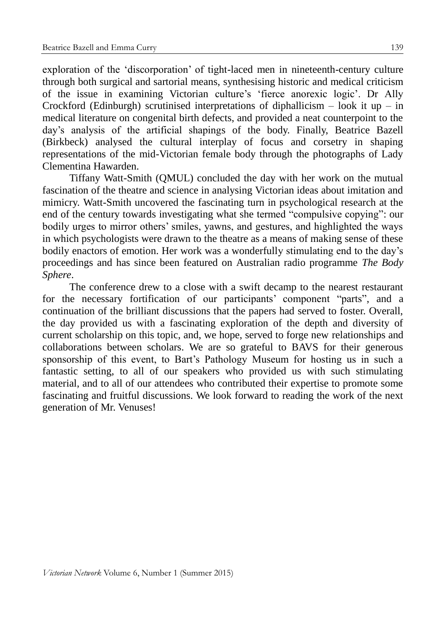exploration of the 'discorporation' of tight-laced men in nineteenth-century culture through both surgical and sartorial means, synthesising historic and medical criticism of the issue in examining Victorian culture's 'fierce anorexic logic'. Dr Ally Crockford (Edinburgh) scrutinised interpretations of diphallicism – look it up – in medical literature on congenital birth defects, and provided a neat counterpoint to the day's analysis of the artificial shapings of the body. Finally, Beatrice Bazell (Birkbeck) analysed the cultural interplay of focus and corsetry in shaping representations of the mid-Victorian female body through the photographs of Lady Clementina Hawarden.

Tiffany Watt-Smith (QMUL) concluded the day with her work on the mutual fascination of the theatre and science in analysing Victorian ideas about imitation and mimicry. Watt-Smith uncovered the fascinating turn in psychological research at the end of the century towards investigating what she termed "compulsive copying": our bodily urges to mirror others' smiles, yawns, and gestures, and highlighted the ways in which psychologists were drawn to the theatre as a means of making sense of these bodily enactors of emotion. Her work was a wonderfully stimulating end to the day's proceedings and has since been featured on Australian radio programme *The Body Sphere*.

The conference drew to a close with a swift decamp to the nearest restaurant for the necessary fortification of our participants' component "parts", and a continuation of the brilliant discussions that the papers had served to foster. Overall, the day provided us with a fascinating exploration of the depth and diversity of current scholarship on this topic, and, we hope, served to forge new relationships and collaborations between scholars. We are so grateful to BAVS for their generous sponsorship of this event, to Bart's Pathology Museum for hosting us in such a fantastic setting, to all of our speakers who provided us with such stimulating material, and to all of our attendees who contributed their expertise to promote some fascinating and fruitful discussions. We look forward to reading the work of the next generation of Mr. Venuses!